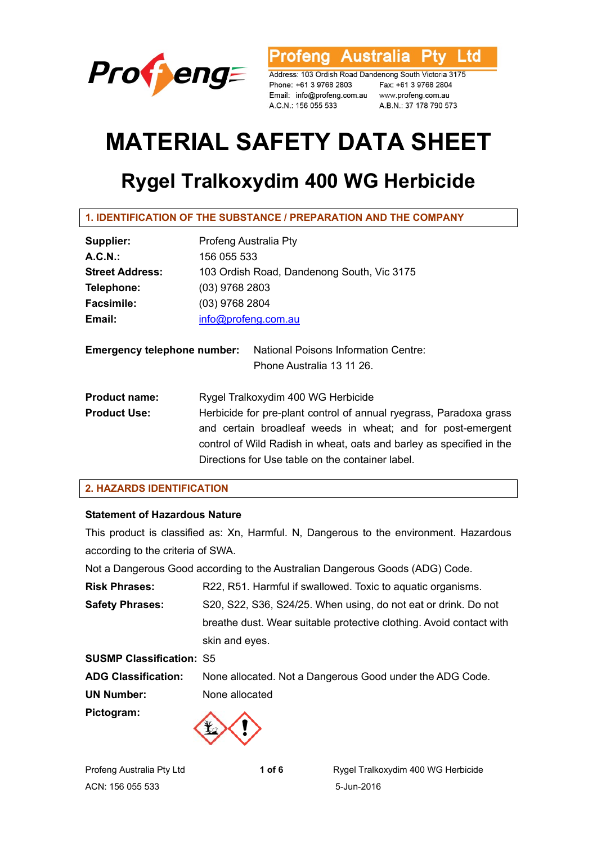

rofeng Australia l td

Address: 103 Ordish Road Dandenong South Victoria 3175 Phone: +61 3 9768 2803 Email: info@profeng.com.au www.profeng.com.au A.C.N.: 156 055 533

Fax: +61 3 9768 2804 A.B.N.: 37 178 790 573

# **MATERIAL SAFETY DATA SHEET**

# **Rygel Tralkoxydim 400 WG Herbicide**

# **1. IDENTIFICATION OF THE SUBSTANCE / PREPARATION AND THE COMPANY**

| Supplier:              | Profeng Australia Pty                      |
|------------------------|--------------------------------------------|
| $A.C.N.$ :             | 156 055 533                                |
| <b>Street Address:</b> | 103 Ordish Road, Dandenong South, Vic 3175 |
| Telephone:             | $(03)$ 9768 2803                           |
| <b>Facsimile:</b>      | (03) 9768 2804                             |
| Email:                 | info@profeng.com.au                        |
|                        |                                            |
|                        |                                            |

| <b>Emergency telephone number:</b> | <b>National Poisons Information Centre:</b> |  |
|------------------------------------|---------------------------------------------|--|
|                                    | Phone Australia 13 11 26.                   |  |

| <b>Product name:</b>                                                 | Rygel Tralkoxydim 400 WG Herbicide                                 |  |  |
|----------------------------------------------------------------------|--------------------------------------------------------------------|--|--|
| <b>Product Use:</b>                                                  | Herbicide for pre-plant control of annual ryegrass, Paradoxa grass |  |  |
|                                                                      | and certain broadleaf weeds in wheat; and for post-emergent        |  |  |
| control of Wild Radish in wheat, oats and barley as specified in the |                                                                    |  |  |
|                                                                      | Directions for Use table on the container label.                   |  |  |

# **2. HAZARDS IDENTIFICATION**

# **Statement of Hazardous Nature**

This product is classified as: Xn, Harmful. N, Dangerous to the environment. Hazardous according to the criteria of SWA.

Not a Dangerous Good according to the Australian Dangerous Goods (ADG) Code.

**Risk Phrases:** R22, R51. Harmful if swallowed. Toxic to aquatic organisms. **Safety Phrases:** S20, S22, S36, S24/25. When using, do not eat or drink. Do not breathe dust. Wear suitable protective clothing. Avoid contact with skin and eyes.

| <b>SUSMP Classification: S5</b> |                                                          |
|---------------------------------|----------------------------------------------------------|
| <b>ADG Classification:</b>      | None allocated. Not a Dangerous Good under the ADG Code. |
| <b>UN Number:</b>               | None allocated                                           |
| Pictogram:                      |                                                          |

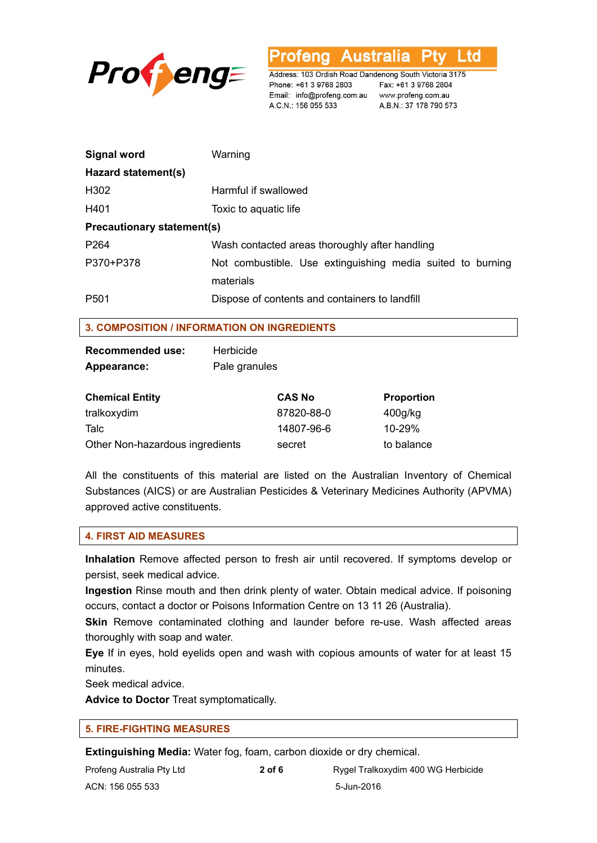

rofeng Australia l td

Address: 103 Ordish Road Dandenong South Victoria 3175 Phone: +61 3 9768 2803 Email: info@profeng.com.au www.profeng.com.au A.C.N.: 156 055 533

Fax: +61 3 9768 2804 A.B.N.: 37 178 790 573

| <b>Signal word</b>                | Warning                                                                 |  |  |
|-----------------------------------|-------------------------------------------------------------------------|--|--|
| Hazard statement(s)               |                                                                         |  |  |
| H302                              | Harmful if swallowed                                                    |  |  |
| H401                              | Toxic to aquatic life                                                   |  |  |
| <b>Precautionary statement(s)</b> |                                                                         |  |  |
| P <sub>264</sub>                  | Wash contacted areas thoroughly after handling                          |  |  |
| P370+P378                         | Not combustible. Use extinguishing media suited to burning<br>materials |  |  |
| P <sub>501</sub>                  | Dispose of contents and containers to landfill                          |  |  |

# **3. COMPOSITION / INFORMATION ON INGREDIENTS**

| <b>Recommended use:</b> | Herbicide     |
|-------------------------|---------------|
| Appearance:             | Pale granules |

| <b>Chemical Entity</b>          | <b>CAS No</b> | <b>Proportion</b> |
|---------------------------------|---------------|-------------------|
| tralkoxydim                     | 87820-88-0    | $400$ g/kg        |
| Talc                            | 14807-96-6    | 10-29%            |
| Other Non-hazardous ingredients | secret        | to balance        |

All the constituents of this material are listed on the Australian Inventory of Chemical Substances (AICS) or are Australian Pesticides & Veterinary Medicines Authority (APVMA) approved active constituents.

# **4. FIRST AID MEASURES**

**Inhalation** Remove affected person to fresh air until recovered. If symptoms develop or persist, seek medical advice.

**Ingestion** Rinse mouth and then drink plenty of water. Obtain medical advice. If poisoning occurs, contact a doctor or Poisons Information Centre on 13 11 26 (Australia).

**Skin** Remove contaminated clothing and launder before re-use. Wash affected areas thoroughly with soap and water.

**Eye** If in eyes, hold eyelids open and wash with copious amounts of water for at least 15 minutes.

Seek medical advice.

**Advice to Doctor** Treat symptomatically.

# **5. FIRE-FIGHTING MEASURES**

**Extinguishing Media:** Water fog, foam, carbon dioxide or dry chemical.

| Profeng Australia Pty Ltd | 2 of 6 | Rygel Tralkoxydim 400 WG Herbicide |
|---------------------------|--------|------------------------------------|
| ACN: 156 055 533          |        | 5-Jun-2016                         |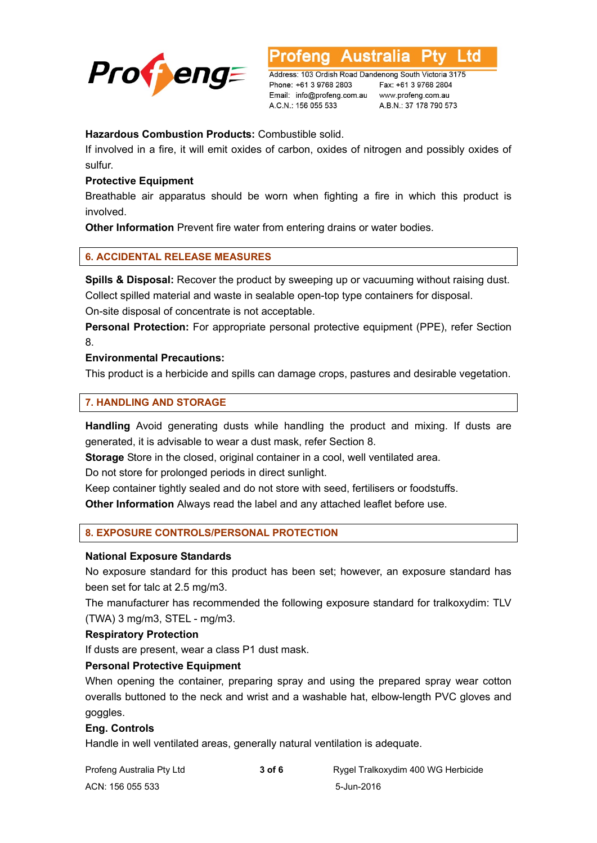

Australia to

Address: 103 Ordish Road Dandenong South Victoria 3175 Phone: +61 3 9768 2803 Email: info@profeng.com.au A.C.N.: 156 055 533

Fax: +61 3 9768 2804 www.profeng.com.au A.B.N.: 37 178 790 573

# **Hazardous Combustion Products:** Combustible solid.

If involved in a fire, it will emit oxides of carbon, oxides of nitrogen and possibly oxides of sulfur.

# **Protective Equipment**

Breathable air apparatus should be worn when fighting a fire in which this product is involved.

**Other Information** Prevent fire water from entering drains or water bodies.

# **6. ACCIDENTAL RELEASE MEASURES**

**Spills & Disposal:** Recover the product by sweeping up or vacuuming without raising dust. Collect spilled material and waste in sealable open-top type containers for disposal. On-site disposal of concentrate is not acceptable.

Personal Protection: For appropriate personal protective equipment (PPE), refer Section 8.

# **Environmental Precautions:**

This product is a herbicide and spills can damage crops, pastures and desirable vegetation.

# **7. HANDLING AND STORAGE**

**Handling** Avoid generating dusts while handling the product and mixing. If dusts are generated, it is advisable to wear a dust mask, refer Section 8.

**Storage** Store in the closed, original container in a cool, well ventilated area.

Do not store for prolonged periods in direct sunlight.

Keep container tightly sealed and do not store with seed, fertilisers or foodstuffs.

**Other Information** Always read the label and any attached leaflet before use.

# **8. EXPOSURE CONTROLS/PERSONAL PROTECTION**

#### **National Exposure Standards**

No exposure standard for this product has been set; however, an exposure standard has been set for talc at 2.5 mg/m3.

The manufacturer has recommended the following exposure standard for tralkoxydim: TLV (TWA) 3 mg/m3, STEL - mg/m3.

#### **Respiratory Protection**

If dusts are present, wear a class P1 dust mask.

#### **Personal Protective Equipment**

When opening the container, preparing spray and using the prepared spray wear cotton overalls buttoned to the neck and wrist and a washable hat, elbow-length PVC gloves and goggles.

#### **Eng. Controls**

Handle in well ventilated areas, generally natural ventilation is adequate.

| Profeng Australia Pty Ltd | 3 of 6 | Rygel Tralkoxydim 400 WG Herbicide |
|---------------------------|--------|------------------------------------|
| ACN: 156 055 533          |        | 5-Jun-2016                         |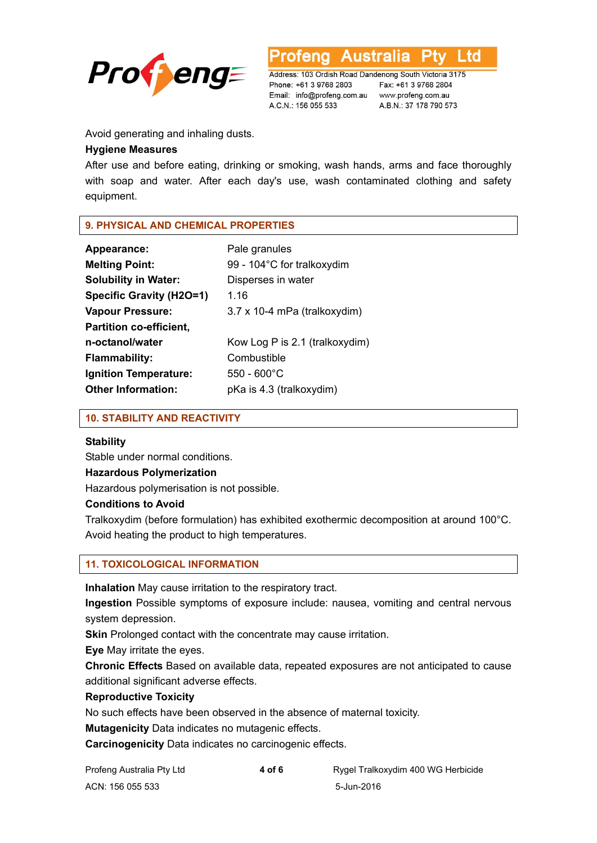



Address: 103 Ordish Road Dandenong South Victoria 3175 Phone: +61 3 9768 2803 Email: info@profeng.com.au www.profeng.com.au A.C.N.: 156 055 533

Fax: +61 3 9768 2804 A.B.N.: 37 178 790 573

Avoid generating and inhaling dusts.

# **Hygiene Measures**

After use and before eating, drinking or smoking, wash hands, arms and face thoroughly with soap and water. After each day's use, wash contaminated clothing and safety equipment.

# **9. PHYSICAL AND CHEMICAL PROPERTIES**

| Appearance:                     | Pale granules                  |
|---------------------------------|--------------------------------|
| <b>Melting Point:</b>           | 99 - 104°C for tralkoxydim     |
| <b>Solubility in Water:</b>     | Disperses in water             |
| <b>Specific Gravity (H2O=1)</b> | 1.16                           |
| <b>Vapour Pressure:</b>         | 3.7 x 10-4 mPa (tralkoxydim)   |
| <b>Partition co-efficient,</b>  |                                |
| n-octanol/water                 | Kow Log P is 2.1 (tralkoxydim) |
| <b>Flammability:</b>            | Combustible                    |
| <b>Ignition Temperature:</b>    | $550 - 600^{\circ}$ C          |
| <b>Other Information:</b>       | pKa is 4.3 (tralkoxydim)       |

# **10. STABILITY AND REACTIVITY**

#### **Stability**

Stable under normal conditions.

#### **Hazardous Polymerization**

Hazardous polymerisation is not possible.

# **Conditions to Avoid**

Tralkoxydim (before formulation) has exhibited exothermic decomposition at around 100°C. Avoid heating the product to high temperatures.

# **11. TOXICOLOGICAL INFORMATION**

**Inhalation** May cause irritation to the respiratory tract.

**Ingestion** Possible symptoms of exposure include: nausea, vomiting and central nervous system depression.

**Skin** Prolonged contact with the concentrate may cause irritation.

**Eye** May irritate the eyes.

**Chronic Effects** Based on available data, repeated exposures are not anticipated to cause additional significant adverse effects.

# **Reproductive Toxicity**

No such effects have been observed in the absence of maternal toxicity.

**Mutagenicity** Data indicates no mutagenic effects.

**Carcinogenicity** Data indicates no carcinogenic effects.

| Profeng Australia Pty Ltd | 4 of 6 | Rygel Tralkoxydim 400 WG Herbicide |
|---------------------------|--------|------------------------------------|
| ACN: 156 055 533          |        | 5-Jun-2016                         |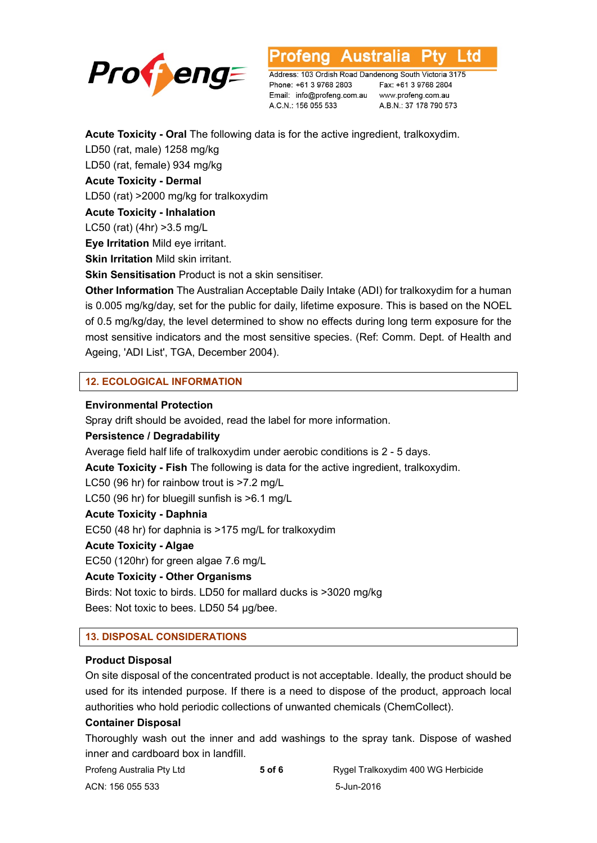

L TO

Address: 103 Ordish Road Dandenong South Victoria 3175 Phone: +61 3 9768 2803 Email: info@profeng.com.au A.C.N.: 156 055 533

Fax: +61 3 9768 2804 www.profeng.com.au A.B.N.: 37 178 790 573

**Acute Toxicity - Oral** The following data is for the active ingredient, tralkoxydim.

LD50 (rat, male) 1258 mg/kg LD50 (rat, female) 934 mg/kg

**Acute Toxicity - Dermal** 

LD50 (rat) >2000 mg/kg for tralkoxydim

**Acute Toxicity - Inhalation** 

LC50 (rat) (4hr) >3.5 mg/L

**Eye Irritation** Mild eye irritant.

**Skin Irritation** Mild skin irritant.

**Skin Sensitisation** Product is not a skin sensitiser.

**Other Information** The Australian Acceptable Daily Intake (ADI) for tralkoxydim for a human is 0.005 mg/kg/day, set for the public for daily, lifetime exposure. This is based on the NOEL of 0.5 mg/kg/day, the level determined to show no effects during long term exposure for the most sensitive indicators and the most sensitive species. (Ref: Comm. Dept. of Health and Ageing, 'ADI List', TGA, December 2004).

# **12. ECOLOGICAL INFORMATION**

# **Environmental Protection**

Spray drift should be avoided, read the label for more information.

# **Persistence / Degradability**

Average field half life of tralkoxydim under aerobic conditions is 2 - 5 days.

**Acute Toxicity - Fish** The following is data for the active ingredient, tralkoxydim.

LC50 (96 hr) for rainbow trout is >7.2 mg/L

LC50 (96 hr) for bluegill sunfish is >6.1 mg/L

# **Acute Toxicity - Daphnia**

EC50 (48 hr) for daphnia is >175 mg/L for tralkoxydim

# **Acute Toxicity - Algae**

EC50 (120hr) for green algae 7.6 mg/L

# **Acute Toxicity - Other Organisms**

Birds: Not toxic to birds. LD50 for mallard ducks is >3020 mg/kg Bees: Not toxic to bees. LD50 54 μg/bee.

# **13. DISPOSAL CONSIDERATIONS**

# **Product Disposal**

On site disposal of the concentrated product is not acceptable. Ideally, the product should be used for its intended purpose. If there is a need to dispose of the product, approach local authorities who hold periodic collections of unwanted chemicals (ChemCollect).

# **Container Disposal**

Thoroughly wash out the inner and add washings to the spray tank. Dispose of washed inner and cardboard box in landfill.

| Profeng Australia Pty Ltd | 5 of 6 | Rygel Tralkoxydim 400 WG Herbicide |
|---------------------------|--------|------------------------------------|
| ACN: 156 055 533          |        | 5-Jun-2016                         |